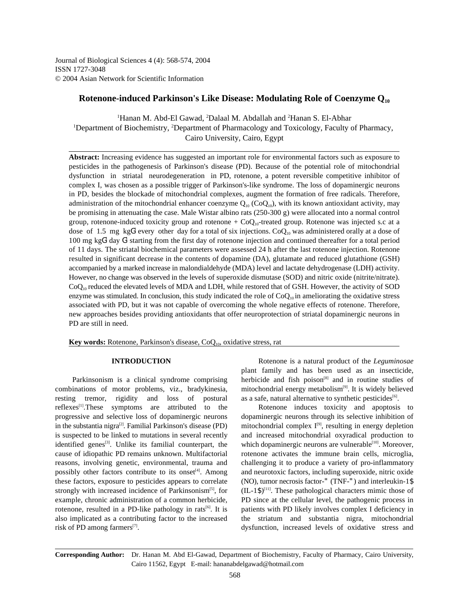Journal of Biological Sciences 4 (4): 568-574, 2004 ISSN 1727-3048 © 2004 Asian Network for Scientific Information

# **Rotenone-induced Parkinson's Like Disease: Modulating Role of Coenzyme Q<sup>10</sup>**

<sup>1</sup>Hanan M. Abd-El Gawad, <sup>2</sup>Dalaal M. Abdallah and <sup>2</sup> Hanan S. El-Abhar <sup>1</sup>Department of Biochemistry, <sup>2</sup>Department of Pharmacology and Toxicology, Faculty of Pharmacy, Cairo University, Cairo, Egypt

**Abstract:** Increasing evidence has suggested an important role for environmental factors such as exposure to pesticides in the pathogenesis of Parkinson's disease (PD). Because of the potential role of mitochondrial dysfunction in striatal neurodegeneration in PD, rotenone, a potent reversible competitive inhibitor of complex I, was chosen as a possible trigger of Parkinson's-like syndrome. The loss of dopaminergic neurons in PD, besides the blockade of mitochondrial complexes, augment the formation of free radicals. Therefore, administration of the mitochondrial enhancer coenzyme  $Q_{10}$  (Co $Q_{10}$ ), with its known antioxidant activity, may be promising in attenuating the case. Male Wistar albino rats (250-300 g) were allocated into a normal control group, rotenone-induced toxicity group and rotenone  $+ CoQ<sub>10</sub>$ -treated group. Rotenone was injected s.c at a dose of 1.5 mg kg $G<sup>1</sup>$  every other day for a total of six injections. Co $Q<sub>10</sub>$  was administered orally at a dose of 100 mg kg $G<sup>1</sup>$  day  $G<sup>1</sup>$  starting from the first day of rotenone injection and continued thereafter for a total period of 11 days. The striatal biochemical parameters were assessed 24 h after the last rotenone injection. Rotenone resulted in significant decrease in the contents of dopamine (DA), glutamate and reduced glutathione (GSH) accompanied by a marked increase in malondialdehyde (MDA) level and lactate dehydrogenase (LDH) activity. However, no change was observed in the levels of superoxide dismutase (SOD) and nitric oxide (nitrite/nitrate).  $CoQ<sub>10</sub>$  reduced the elevated levels of MDA and LDH, while restored that of GSH. However, the activity of SOD enzyme was stimulated. In conclusion, this study indicated the role of  $CoQ<sub>10</sub>$  in ameliorating the oxidative stress associated with PD, but it was not capable of overcoming the whole negative effects of rotenone. Therefore, new approaches besides providing antioxidants that offer neuroprotection of striatal dopaminergic neurons in PD are still in need.

**Key words:** Rotenone, Parkinson's disease, CoQ<sub>10</sub>, oxidative stress, rat

combinations of motor problems, viz., bradykinesia, mitochondrial energy metabolism<sup>[9]</sup>. It is widely believed resting tremor, rigidity and loss of postural  $reflexes<sup>[1]</sup>. These symptoms are attributed to the Rotenone induces toxicity and apoptosis to$ progressive and selective loss of dopaminergic neurons dopaminergic neurons through its selective inhibition of in the substantia nigra<sup>[2]</sup>. Familial Parkinson's disease (PD) mitochondrial complex  $I^{[9]}$ , resulting in energy depletion in the substantia nigra<sup>[2]</sup>. Familial Parkinson's disease (PD) is suspected to be linked to mutations in several recently and increased mitochondrial oxyradical production to identified genes<sup> $[3]$ </sup>. Unlike its familial counterpart, the cause of idiopathic PD remains unknown. Multifactorial rotenone activates the immune brain cells, microglia, reasons, involving genetic, environmental, trauma and challenging it to produce a variety of pro-inflammatory possibly other factors contribute to its onset<sup>[4]</sup>. Among and neurotoxic factors, including superoxide, nitric oxide these factors, exposure to pesticides appears to correlate (NO), tumor necrosis factor-" (TNF-") and interleukin-1\$ strongly with increased incidence of Parkinsonism<sup>[5]</sup>, for  $(IL-1\$ <sup>[11]</sup>. These pathological characters mimic those of strongly with increased incidence of Parkinsonism<sup>[5]</sup>, for example, chronic administration of a common herbicide, PD since at the cellular level, the pathogenic process in rotenone, resulted in a PD-like pathology in rats<sup>[6]</sup>. It is also implicated as a contributing factor to the increased the striatum and substantia nigra, mitochondrial risk of PD among farmers<sup>[7]</sup>.

**INTRODUCTION** Rotenone is a natural product of the *Leguminosae* Parkinsonism is a clinical syndrome comprising herbicide and fish poison<sup>[8]</sup> and in routine studies of plant family and has been used as an insecticide, as a safe, natural alternative to synthetic pesticides<sup>[6]</sup>.

> patients with PD likely involves complex I deficiency in dysfunction, increased levels of oxidative stress and which dopaminergic neurons are vulnerable<sup>[10]</sup>. Moreover,

**Corresponding Author:** Dr. Hanan M. Abd El-Gawad, Department of Biochemistry, Faculty of Pharmacy, Cairo University, Cairo 11562, Egypt E-mail: hananabdelgawad@hotmail.com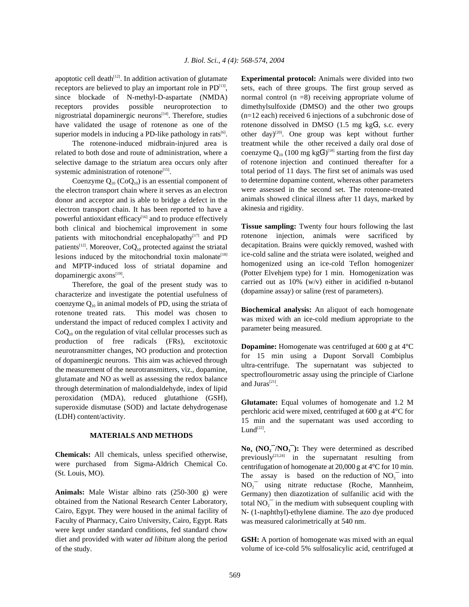apoptotic cell death<sup>[12]</sup>. In addition activation of glutamate **Experimental protocol:** Animals were divided into two receptors are believed to play an important role in  $PD^{[13]}$ , since blockade of N-methyl-D-aspartate (NMDA) normal control (n =8) receiving appropriate volume of receptors provides possible neuroprotection to dimethylsulfoxide (DMSO) and the other two groups nigrostriatal dopaminergic neurons<sup>[14]</sup>. Therefore, studies  $(n=12 \text{ each})$  received 6 injections of a subchronic dose of have validated the usage of rotenone as one of the rotenone dissolved in DMSO  $(1.5 \text{ mg } \text{kgG}^1, \text{ s.c.}$  every superior models in inducing a PD-like pathology in rats<sup>[6]</sup>. other day)<sup>[20]</sup>. One group was kept without further superior models in inducing a PD-like pathology in rats<sup>[6]</sup>.

related to both dose and route of administration, where a selective damage to the striatum area occurs only after systemic administration of rotenone<sup>[15]</sup>.

Coenzyme  $Q_{10}$  (Co $Q_{10}$ ) is an essential component of the electron transport chain where it serves as an electron donor and acceptor and is able to bridge a defect in the electron transport chain. It has been reported to have a powerful antioxidant efficacy<sup>[16]</sup> and to produce effectively both clinical and biochemical improvement in some patients with mitochondrial encephalopathy<sup>[17]</sup> and PD patients<sup>[12]</sup>. Moreover, CoQ<sub>10</sub> protected against the striatal lesions induced by the mitochondrial toxin malonate<sup>[18]</sup> and MPTP-induced loss of striatal dopamine and dopaminergic axons<sup>[19]</sup>.

Therefore, the goal of the present study was to characterize and investigate the potential usefulness of coenzyme  $Q_{10}$  in animal models of PD, using the striata of rotenone treated rats. This model was chosen to understand the impact of reduced complex I activity and  $CoQ<sub>10</sub>$  on the regulation of vital cellular processes such as production of free radicals (FRs), excitotoxic neurotransmitter changes, NO production and protection of dopaminergic neurons. This aim was achieved through the measurement of the neurotransmitters, viz., dopamine, glutamate and NO as well as assessing the redox balance through determination of malondialdehyde, index of lipid peroxidation (MDA), reduced glutathione (GSH), superoxide dismutase (SOD) and lactate dehydrogenase (LDH) content/activity.

## **MATERIALS AND METHODS**

**Chemicals:** All chemicals, unless specified otherwise, were purchased from Sigma-Aldrich Chemical Co. (St. Louis, MO).

**Animals:** Male Wistar albino rats (250-300 g) were obtained from the National Research Center Laboratory, Cairo, Egypt. They were housed in the animal facility of Faculty of Pharmacy, Cairo University, Cairo, Egypt. Rats were kept under standard conditions, fed standard chow diet and provided with water *ad libitum* along the period of the study.

sets, each of three groups. The first group served as The rotenone-induced midbrain-injured area is treatment while the other received a daily oral dose of coenzyme  $Q_{10}$  (100 mg kgG<sup>1)[18]</sup> starting from the first day of rotenone injection and continued thereafter for a total period of 11 days. The first set of animals was used to determine dopamine content, whereas other parameters were assessed in the second set. The rotenone-treated animals showed clinical illness after 11 days, marked by akinesia and rigidity.

> **Tissue sampling:** Twenty four hours following the last rotenone injection, animals were sacrificed by decapitation. Brains were quickly removed, washed with ice-cold saline and the striata were isolated, weighed and homogenized using an ice-cold Teflon homogenizer (Potter Elvehjem type) for 1 min. Homogenization was carried out as 10% (w/v) either in acidified n-butanol (dopamine assay) or saline (rest of parameters).

> **Biochemical analysis:** An aliquot of each homogenate was mixed with an ice-cold medium appropriate to the parameter being measured.

> **Dopamine:** Homogenate was centrifuged at 600 g at 4<sup>o</sup>C for 15 min using a Dupont Sorvall Combiplus ultra-centrifuge. The supernatant was subjected to spectroflourometric assay using the principle of Ciarlone and Juras $^{[21]}$ .

> **Glutamate:** Equal volumes of homogenate and 1.2 M perchloric acid were mixed, centrifuged at 600 g at 4°C for 15 min and the supernatant was used according to Lund $^{[22]}$ .

> $N\mathbf{o}_x$  ( $N\mathbf{O}_2^-/N\mathbf{O}_3^-$ ): They were determined as described previously $[23,24]$  in the supernatant resulting from centrifugation of homogenate at 20,000 g at 4°C for 10 min. The assay is based on the reduction of  $NO_3^-$  into  $NO<sub>2</sub>$  using nitrate reductase (Roche, Mannheim, Germany) then diazotization of sulfanilic acid with the total  $NO<sub>2</sub><sup>-</sup>$  in the medium with subsequent coupling with N- (1-naphthyl)-ethylene diamine. The azo dye produced was measured calorimetrically at 540 nm.

> **GSH:** A portion of homogenate was mixed with an equal volume of ice-cold 5% sulfosalicylic acid, centrifuged at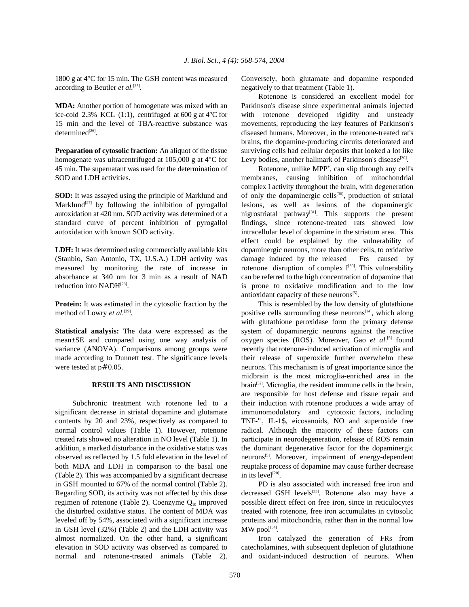according to Beutler *et al.* <sup>[25]</sup>. negatively to that treatment (Table 1).

ice-cold 2.3% KCL (1:1), centrifuged at 600 g at 4°C for with rotenone developed rigidity and unsteady 15 min and the level of TBA-reactive substance was movements, reproducing the key features of Parkinson's  $determined^{[26]}$ .

homogenate was ultracentrifuged at  $105,000$  g at  $4^{\circ}$ C for 45 min. The supernatant was used for the determination of SOD and LDH activities. membranes, causing inhibition of mitochondrial

Marklund<sup>[27]</sup> by following the inhibition of pyrogallol autoxidation at 420 nm. SOD activity was determined of a standard curve of percent inhibition of pyrogallol findings, since rotenone-treated rats showed low autoxidation with known SOD activity. intracellular level of dopamine in the striatum area. This

(Stanbio, San Antonio, TX, U.S.A.) LDH activity was damage induced by the released Frs caused by measured by monitoring the rate of increase in rotenone disruption of complex  $I^{[30]}$ . This vulnerability absorbance at 340 nm for 3 min as a result of NAD can be referred to the high concentration of dopamine that reduction into NADH<sup>[28]</sup>.

method of Lowry *et al.*<sup>[29]</sup>. positive cells surrounding these neurons<sup>[14]</sup>, which along method of Lowry et al.<sup>[29]</sup>.

mean±SE and compared using one way analysis of oxygen species (ROS). Moreover, Gao *et al.*<sup>[5]</sup> found variance (ANOVA). Comparisons among groups were recently that rotenone-induced activation of microglia and made according to Dunnett test. The significance levels their release of superoxide further overwhelm these were tested at p# 0.05. neurons. This mechanism is of great importance since the

significant decrease in striatal dopamine and glutamate immunomodulatory and cytotoxic factors, including contents by 20 and 23%, respectively as compared to TNF-", IL-1\$, eicosanoids, NO and superoxide free normal control values (Table 1). However, rotenone radical. Although the majority of these factors can treated rats showed no alteration in NO level (Table 1). In participate in neurodegeneration, release of ROS remain addition, a marked disturbance in the oxidative status was the dominant degenerative factor for the dopaminergic observed as reflected by 1.5 fold elevation in the level of both MDA and LDH in comparison to the basal one reuptake process of dopamine may cause further decrease (Table 2). This was accompanied by a significant decrease in GSH mounted to 67% of the normal control (Table 2). PD is also associated with increased free iron and Regarding SOD, its activity was not affected by this dose decreased GSH levels $^{[33]}$ . Rotenone also may have a regimen of rotenone (Table 2). Coenzyme  $Q_{10}$  improved possible direct effect on free iron, since in reticulocytes the disturbed oxidative status. The content of MDA was treated with rotenone, free iron accumulates in cytosolic leveled off by 54%, associated with a significant increase proteins and mitochondria, rather than in the normal low in GSH level  $(32\%)$  (Table 2) and the LDH activity was almost normalized. On the other hand, a significant Iron catalyzed the generation of FRs from elevation in SOD activity was observed as compared to catecholamines, with subsequent depletion of glutathione normal and rotenone-treated animals (Table 2). and oxidant-induced destruction of neurons. When

1800 g at 4°C for 15 min. The GSH content was measured Conversely, both glutamate and dopamine responded

**MDA:** Another portion of homogenate was mixed with an Parkinson's disease since experimental animals injected diseased humans. Moreover, in the rotenone-treated rat's **Preparation of cytosolic fraction:** An aliquot of the tissue surviving cells had cellular deposits that looked a lot like Rotenone is considered an excellent model for brains, the dopamine-producing circuits deteriorated and Levy bodies, another hallmark of Parkinson's disease<sup>[30]</sup>.

**SOD:** It was assayed using the principle of Marklund and of only the dopaminergic cells<sup>[30]</sup>, production of striatal lesions, as well as lesions of the dopaminergic LDH: It was determined using commercially available kits dopaminergic neurons, more than other cells, to oxidative is prone to oxidative modification and to the low Rotenone, unlike MPP<sup>+</sup>, can slip through any cell's complex I activity throughout the brain, with degeneration nigrostriatal pathway<sup>[31]</sup>. This supports the present effect could be explained by the vulnerability of antioxidant capacity of these neurons $^{[5]}$ .

**Protein:** It was estimated in the cytosolic fraction by the This is resembled by the low density of glutathione **Statistical analysis:** The data were expressed as the system of dopaminergic neurons against the reactive **RESULTS AND DISCUSSION** brain<sup>[32]</sup>. Microglia, the resident immune cells in the brain, Subchronic treatment with rotenone led to a their induction with rotenone produces a wide array of with glutathione peroxidase form the primary defense midbrain is the most microglia-enriched area in the are responsible for host defense and tissue repair and neurons<sup>[5]</sup>. Moreover, impairment of energy-dependent in its level<sup>[20]</sup>.

 $MW$  pool $^{[34]}$ .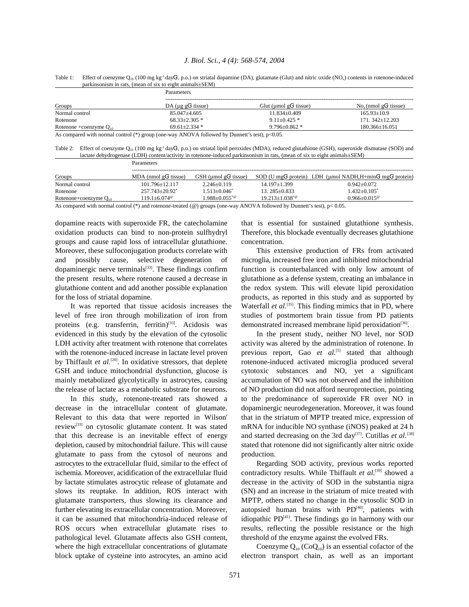| Groups                      | <b>Parameters</b>           |                          |                                     |  |  |
|-----------------------------|-----------------------------|--------------------------|-------------------------------------|--|--|
|                             | DA ( $\mu$ g g $G1$ tissue) | Glut (umol $gG1$ tissue) | $Nox$ (nmol gG <sup>1</sup> tissue) |  |  |
| Normal control              | $85.047 + 4.605$            | $11.834 \pm 0.409$       | $165.93 \pm 10.9$                   |  |  |
| Rotenone                    | $68.33 + 2.305$ *           | $9.11 + 0.425$ *         | $171.342+12.203$                    |  |  |
| Rotenone +coenzyme $O_{10}$ | $69.61 + 2.334*$            | $9.796 + 0.862$ *        | $180.366 \pm 16.051$                |  |  |
|                             |                             | ---                      |                                     |  |  |

Table 1: Effect of coenzyme  $Q_{10}$  (100 mg kg<sup>-1</sup> dayG<sup>1</sup>, p.o.) on striatal dopamine (DA), glutamate (Glut) and nitric oxide (NO<sub>3</sub>) contents in rotenone-induced parkinsonism in rats, (mean of six to eight animals±SEM)

As compared with normal control (\*) group (one-way ANOVA followed by Dunnett's test), p<0.05.

Table 2: Effect of coenzyme  $Q_{10}$  (100 mg kg<sup>-1</sup> dayG<sup>1</sup>, p.o.) on striatal lipid peroxides (MDA), reduced glutathione (GSH), superoxide dismutase (SOD) and lactate dehydrogenase (LDH) content/activity in rotenone-induced parkinsonism in rats, (mean of six to eight animals±SEM) Parameters

| Groups                     | MDA (nmol $gG1$ tissue)                                                                                         | $GSH$ (µmol g $G1$ tissue) |                      | SOD (U mgG <sup>1</sup> protein) LDH (umol NADH.H+minG <sup>1</sup> mgG <sup>1</sup> protein) |
|----------------------------|-----------------------------------------------------------------------------------------------------------------|----------------------------|----------------------|-----------------------------------------------------------------------------------------------|
| Normal control             | 101.796+12.117                                                                                                  | $2.246+0.119$              | 14.197±1.399         | $0.942 + 0.072$                                                                               |
| Rotenone                   | $257.743 + 20.92^*$                                                                                             | $1.513 + 0.046^*$          | $13.285+0.833$       | $1.432 + 0.105^*$                                                                             |
| Rotenone+coenzyme $Q_{10}$ | 119 1+6 074 <sup>°</sup>                                                                                        | $1.988 + 0.055^{*@}$       | $19.213 + 1.038^{*}$ | $0.966 + 0.015$ <sup>®</sup>                                                                  |
|                            | records and the contract of the contract of the contract of the contract of the contract of the contract of the |                            |                      | - - -                                                                                         |

As compared with normal control (\*) and rotenone-treated ( $@$ ) groups (one-way ANOVA followed by Dunnett's test),  $p < 0.05$ .

oxidation products can bind to non-protein sulfhydryl Therefore, this blockade eventually decreases glutathione groups and cause rapid loss of intracellular glutathione*.* concentration. Moreover, these sulfoconjugation products correlate with This extensive production of FRs from activated and possibly cause, selective degeneration of microglia, increased free iron and inhibited mitochondrial dopaminergic nerve terminals $^{[33]}$ . These findings confirm function is counterbalanced with only low amount of the present results, where rotenone caused a decrease in glutathione as a defense system, creating an imbalance in glutathione content and add another possible explanation the redox system. This will elevate lipid peroxidation for the loss of striatal dopamine. The products, as reported in this study and as supported by

level of free iron through mobilization of iron from studies of postmortem brain tissue from PD patients proteins (e.g. transferrin, ferritin)<sup>[33]</sup>. Acidosis was evidenced in this study by the elevation of the cytosolic In the present study, neither NO level, nor SOD LDH activity after treatment with rotenone that correlates activity was altered by the administration of rotenone. In with the rotenone-induced increase in lactate level proven previous report, Gao *et al.*<sup>[5]</sup> stated that although by Thiffault *et al.*<sup>[20]</sup>. In oxidative stressors, that deplete rotenone-induced activated microglia produced several GSH and induce mitochondrial dysfunction, glucose is cytotoxic substances and NO, yet a significant mainly metabolized glycolytically in astrocytes, causing accumulation of NO was not observed and the inhibition the release of lactate as a metabolic substrate for neurons. of NO production did not afford neuroprotection, pointing

decrease in the intracellular content of glutamate. dopaminergic neurodegeneration. Moreover, it was found Relevant to this data that were reported in Wilson' that in the striatum of MPTP treated mice, expression of review<sup>[33]</sup> on cytosolic glutamate content. It was stated mRNA for inducible NO synthase (iNOS) peaked at 24 h that this decrease is an inevitable effect of energy depletion, caused by mitochondrial failure. This will cause stated that rotenone did not significantly alter nitric oxide glutamate to pass from the cytosol of neurons and production. astrocytes to the extracellular fluid, similar to the effect of Regarding SOD activity, previous works reported ischemia. Moreover, acidification of the extracellular fluid contradictory results. While Thiffault *et al.*<sup>[39]</sup> showed a by lactate stimulates astrocytic release of glutamate and decrease in the activity of SOD in the substantia nigra slows its reuptake*.* In addition, ROS interact with (SN) and an increase in the striatum of mice treated with glutamate transporters, thus slowing its clearance and MPTP, others stated no change in the cytosolic SOD in further elevating its extracellular concentration. Moreover, autopsied human brains with  $PD<sup>[40]</sup>$ , patients with it can be assumed that mitochondria-induced release of idiopathic  $PD<sup>[41]</sup>$ . These findings go in harmony with our ROS occurs when extracellular glutamate rises to results, reflecting the possible resistance or the high pathological level. Glutamate affects also GSH content, threshold of the enzyme against the evolved FRs. where the high extracellular concentrations of glutamate Coenzyme  $Q_{10}$  (Co $Q_{10}$ ) is an essential cofactor of the block uptake of cysteine into astrocytes, an amino acid electron transport chain, as well as an important

dopamine reacts with superoxide FR, the catecholamine that is essential for sustained glutathione synthesis.

It was reported that tissue acidosis increases the Waterfall *et al.*<sup>[35]</sup>. This finding mimics that in PD, where demonstrated increased membrane lipid peroxidation<sup>[36]</sup>.

In this study, rotenone-treated rats showed a to the predominance of superoxide FR over NO in and started decreasing on the 3rd day<sup>[37]</sup>. Cutillas et al.<sup>[38]</sup>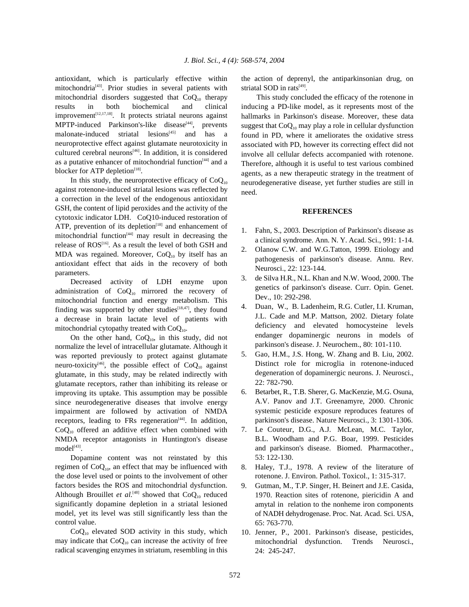antioxidant, which is particularly effective within the action of deprenyl, the antiparkinsonian drug, on mitochondria<sup>[43]</sup>. Prior studies in several patients with striatal SOD in rats<sup>[49]</sup>. mitochondrial disorders suggested that  $CoQ_{10}$  therapy This study concluded the efficacy of the rotenone in results in both biochemical and clinical inducing a PD-like model, as it represents most of the results in both biochemical and improvement<sup> $[12,17,18]$ </sup>. It protects striatal neurons against MPTP-induced Parkinson's-like disease<sup>[44]</sup>, prevents malonate-induced striatal lesions<sup>[45]</sup> and has a neuroprotective effect against glutamate neurotoxicity in cultured cerebral neurons<sup> $[46]$ </sup>. In addition, it is considered as a putative enhancer of mitochondrial function<sup>[44]</sup> and a blocker for ATP depletion $[18]$ .

In this study, the neuroprotective efficacy of  $CoQ<sub>10</sub>$ against rotenone-induced striatal lesions was reflected by a correction in the level of the endogenous antioxidant GSH, the content of lipid peroxides and the activity of the cytotoxic indicator LDH. CoQ10-induced restoration of ATP, prevention of its depletion<sup>[18]</sup> and enhancement of mitochondrial function<sup> $[44]$ </sup> may result in decreasing the release of  $ROS^{[16]}$ . As a result the level of both GSH and MDA was regained. Moreover,  $CoQ<sub>10</sub>$  by itself has an antioxidant effect that aids in the recovery of both parameters.

Decreased activity of LDH enzyme upon administration of  $CoQ_{10}$  mirrored the recovery of mitochondrial function and energy metabolism. This finding was supported by other studies $[18,47]$ , they found a decrease in brain lactate level of patients with mitochondrial cytopathy treated with  $CoQ_{10}$ .

On the other hand,  $CoQ<sub>10</sub>$ , in this study, did not normalize the level of intracellular glutamate. Although it was reported previously to protect against glutamate neuro-toxicity<sup>[46]</sup>, the possible effect of  $CoQ_{10}$  against glutamate, in this study, may be related indirectly with glutamate receptors, rather than inhibiting its release or improving its uptake. This assumption may be possible since neurodegenerative diseases that involve energy impairment are followed by activation of NMDA receptors, leading to FRs regeneration<sup>[44]</sup>. In addition,  $CoQ<sub>10</sub>$  offered an additive effect when combined with NMDA receptor antagonists in Huntington's disease  $model<sup>[43]</sup>$ .

Dopamine content was not reinstated by this regimen of  $CoQ<sub>10</sub>$ , an effect that may be influenced with the dose level used or points to the involvement of other factors besides the ROS and mitochondrial dysfunction. Although Brouillet et al.<sup>[48]</sup> showed that  $CoQ_{10}$  reduced significantly dopamine depletion in a striatal lesioned model, yet its level was still significantly less than the control value.

 $CoQ<sub>10</sub>$  elevated SOD activity in this study, which may indicate that  $CoQ_{10}$  can increase the activity of free radical scavenging enzymes in striatum, resembling in this striatal SOD in rats<sup>[49]</sup>.

inducing a PD-like model, as it represents most of the hallmarks in Parkinson's disease. Moreover, these data suggest that  $CoQ_{10}$  may play a role in cellular dysfunction found in PD, where it ameliorates the oxidative stress associated with PD, however its correcting effect did not involve all cellular defects accompanied with rotenone. Therefore, although it is useful to test various combined agents, as a new therapeutic strategy in the treatment of neurodegenerative disease, yet further studies are still in need.

### **REFERENCES**

- 1. Fahn, S., 2003. Description of Parkinson's disease as a clinical syndrome. Ann. N. Y. Acad. Sci., 991: 1-14.
- 2. Olanow C.W. and W.G.Tatton, 1999. Etiology and pathogenesis of parkinson's disease. Annu. Rev. Neurosci., 22: 123-144.
- 3. de Silva H.R., N.L. Khan and N.W. Wood, 2000. The genetics of parkinson's disease. Curr. Opin. Genet. Dev., 10: 292-298.
- 4. Duan, W., B. Ladenheim, R.G. Cutler, I.I. Kruman, J.L. Cade and M.P. Mattson, 2002. Dietary folate deficiency and elevated homocysteine levels endanger dopaminergic neurons in models of parkinson's disease. J. Neurochem., 80: 101-110.
- 5. Gao, H.M., J.S. Hong, W. Zhang and B. Liu, 2002. Distinct role for microglia in rotenone-induced degeneration of dopaminergic neurons. J. Neurosci., 22: 782-790.
- 6. Betarbet, R., T.B. Sherer, G. MacKenzie, M.G. Osuna, A.V. Panov and J.T. Greenamyre, 2000. Chronic systemic pesticide exposure reproduces features of parkinson's disease. Nature Neurosci., 3: 1301-1306.
- 7. Le Couteur, D.G., A.J. McLean, M.C. Taylor, B.L. Woodham and P.G. Boar, 1999. Pesticides and parkinson's disease. Biomed. Pharmacother., 53: 122-130.
- 8. Haley, T.J., 1978. A review of the literature of rotenone. J. Environ. Pathol. Toxicol., 1: 315-317.
- 9. Gutman, M., T.P. Singer, H. Beinert and J.E. Casida, 1970. Reaction sites of rotenone, piericidin A and amytal in relation to the nonheme iron components of NADH dehydrogenase. Proc. Nat. Acad. Sci. USA, 65: 763-770.
- 10. Jenner, P., 2001. Parkinson's disease, pesticides, mitochondrial dysfunction. Trends Neurosci., 24: 245-247.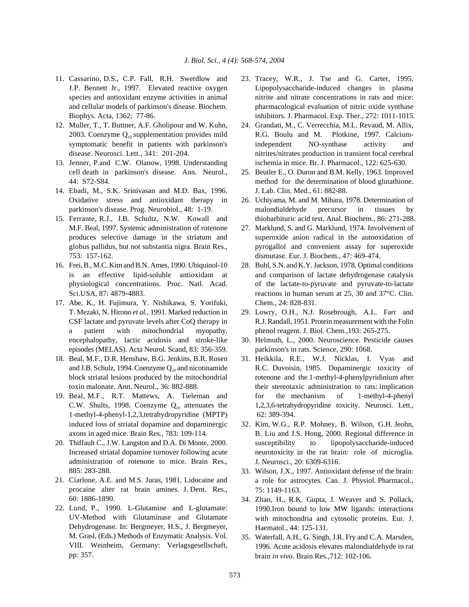- 11. Cassarino, D.S., C.P. Fall, R.H. Swerdlow and 23. Tracey, W.R., J. Tse and G. Carter, 1995.
- 12. Muller, T., T. Buttner, A.F. Gholipour and W. Kuhn, 24. Grandati, M., C. Verrecchia, M.L. Revaud, M. Allix,
- 
- 14. Ebadi, M., S.K. Srinivasan and M.D. Bax, 1996. J. Lab. Clin. Med., 61: 882-88.
- M.F. Beal, 1997. Systemic administration of rotenone 27. Marklund, S. and G. Marklund, 1974. Involvement of 753: 157-162. dismutase. Eur. J. Biochem., 47: 469-474.
- 16. Frei, B., M.C. Kim and B.N. Ames, 1990. Ubiquinol-10 28. Buhl, S.N. and K.Y. Jackson, 1978. Optimal conditions
- 17. Abe, K., H. Fujimura, Y. Nishikawa, S. Yorifuki, Chem., 24: 828-831. T. Mezaki, N. Hirono *et al.*, 1991. Marked reduction in 29. Lowry, O.H., N.J. Rosebrough, A.L. Farr and a patient with mitochondrial myopathy, phenol reagent. J. Biol. Chem.,193: 265-275. encephalopathy, lactic acidosis and stroke-like 30. Helmuth, L., 2000. Neuroscience. Pesticide causes episodes (MELAS). Acta Neurol. Scand, 83: 356-359. parkinson's in rats. Science, 290: 1068.
- 18. Beal, M.F., D.R. Henshaw, B.G. Jenkins, B.R. Rosen 31. Heikkila, R.E., W.J. Nicklas, I. Vyas and
- 1-methyl-4-phenyl-1,2,3,tetrahydropyridine (MPTP) 62: 389-394. axons in aged mice. Brain Res*.,* 783: 109-114.
- 20. Thiffault C., J.W. Langston and D.A. Di Monte, 2000. Increased striatal dopamine turnover following acute administration of rotenone to mice. Brain Res., 885: 283-288.
- 21. Ciarlone, A.E. and M.S. Juras, 1981. Lidocaine and procaine alter rat brain amines. J. Dent. Res., 60: 1886-1890.
- 22. Lund, P., 1990. L-Glutamine and L-glutamate: UV-Method with Glutaminase and Glutamate Dehydrogenase. In: Bergmeyer, H.S., J. Bergmeyer, M. Grasl, (Eds.) Methods of Enzymatic Analysis. Vol. VIII. Weinheim, Germany: Verlagsgesellschaft, pp: 357.
- J.P. Bennett Jr., 1997. Elevated reactive oxygen Lipopolysaccharide-induced changes in plasma species and antioxidant enzyme activities in animal nitrite and nitrate concentrations in rats and mice: and cellular models of parkinson's disease. Biochem. pharmacological evaluation of nitric oxide synthase Biophys. Acta, 1362: 77-86. inhibitors. J. Pharmacol. Exp. Ther., 272: 1011-1015.
- 2003. Coenzyme  $Q_{10}$  supplementation provides mild  $R.G.$  Boulu and M. Plotkine, 1997. Calciumsymptomatic benefit in patients with parkinson's independent NO-synthase activity and disease. Neurosci. Lett*.*, 341: 201-204. nitrites/nitrates production in transient focal cerebral 13. Jenner, P.and C.W. Olanow, 1998. Understanding ischemia in mice. Br. J. Pharmacol., 122: 625-630.
	- cell death in parkinson's disease. Ann. Neurol., 25. Beutler E., O. Duron and B.M. Kelly, 1963. Improved 44: S72-S84. method for the determination of blood glutathione.
- Oxidative stress and antioxidant therapy in 26. Uchiyama, M. and M. Mihara, 1978. Determination of parkinson's disease. Prog. Neurobiol., 48: 1-19. malondialdehyde precursor in tissues by 15. Ferrante, R.J., J.B. Schultz, N.W. Kowall and thiobarbituric acid test. Anal. Biochem., 86: 271-288.
	- produces selective damage in the striatum and superoxide anion radical in the autooxidation of globus pallidus, but not substantia nigra. Brain Res., pyrogallol and convenient assay for superoxide
	- is an effective lipid-soluble antioxidant at and comparison of lactate dehydrogenase catalysis physiological concentrations. Proc. Natl. Acad. of the lactate-to-pyruvate and pyruvate-to-lactate Sci.USA, 87: 4879-4883. reactions in human serum at 25, 30 and 37°C. Clin.
	- CSF lactate and pyruvate levels after CoQ therapy in R.J. Randall, 1951. Protein measurement with the Folin
		-
- and J.B. Schulz, 1994. Coenzyme  $Q_{10}$  and nicotinamide R.C. Duvoisin, 1985. Dopaminergic toxicity of block striatal lesions produced by the mitochondrial rotenone and the 1-methyl-4-phenylpyridinium after toxin malonate. Ann. Neurol., 36: 882-888. their stereotaxic administration to rats: implication 19. Beal, M.F., R.T. Mattews, A. Tieleman and for the mechanism of 1-methyl-4-phenyl C.W. Shults, 1998. Coenzyme  $Q_{10}$  attenuates the 1,2,3,6-tetrahydropyridine toxicity. Neurosci. Lett.,
	- induced loss of striatal dopamine and dopaminergic 32. Kim, W.G., R.P. Mohney, B. Wilson, G.H. Jeohn, B. Liu and J.S. Hong, 2000. Regional difference in susceptibility to lipopolysaccharide-induced neurotoxicity in the rat brain: role of microglia. J. Neurosci., 20: 6309-6316.
		- 33. Wilson, J.X., 1997. Antioxidant defense of the brain: a role for astrocytes. Can. J. Physiol. Pharmacol., 75: 1149-1163.
		- 34. Zhan, H., R.K. Gupta, J. Weaver and S. Pollack, 1990.Iron bound to low MW ligands: interactions with mitochondria and cytosolic proteins. Eur. J. Haematol., 44: 125-131.
		- 35. Waterfall, A.H., G. Singh, J.R. Fry and C.A. Marsden, 1996. Acute acidosis elevates malondialdehyde in rat brain *in vivo.* Brain Res.,712: 102-106.